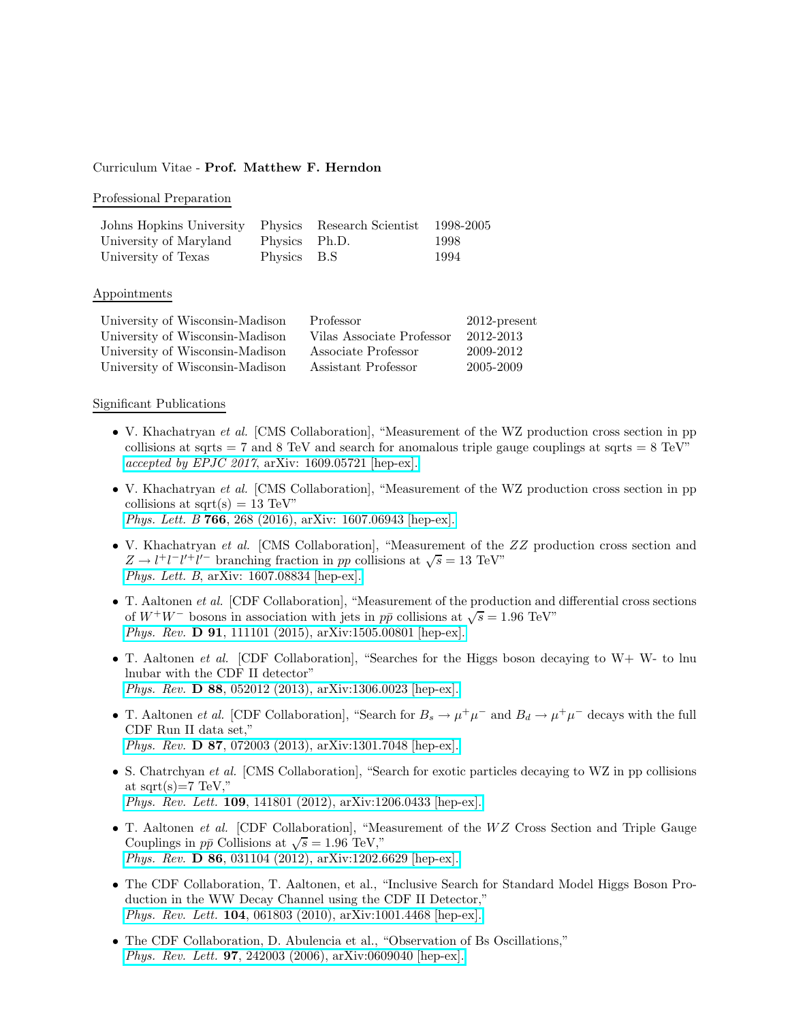## Curriculum Vitae - Prof. Matthew F. Herndon

### Professional Preparation

| Johns Hopkins University Physics Research Scientist 1998-2005 |               |      |
|---------------------------------------------------------------|---------------|------|
| University of Maryland                                        | Physics Ph.D. | 1998 |
| University of Texas                                           | Physics B.S   | 1994 |

### Appointments

| University of Wisconsin-Madison | Professor                 | $2012$ -present |
|---------------------------------|---------------------------|-----------------|
| University of Wisconsin-Madison | Vilas Associate Professor | 2012-2013       |
| University of Wisconsin-Madison | Associate Professor       | 2009-2012       |
| University of Wisconsin-Madison | Assistant Professor       | 2005-2009       |

#### Significant Publications

- V. Khachatryan et al. [CMS Collaboration], "Measurement of the WZ production cross section in pp collisions at sqrts  $= 7$  and 8 TeV and search for anomalous triple gauge couplings at sqrts  $= 8$  TeV" accepted by EPJC 2017[, arXiv: 1609.05721 \[hep-ex\].](https://arxiv.org/abs/1609.05721)
- V. Khachatryan et al. [CMS Collaboration], "Measurement of the WZ production cross section in pp collisions at sqrt $(s) = 13$  TeV" Phys. Lett. B 766[, 268 \(2016\), arXiv: 1607.06943 \[hep-ex\].](https://arxiv.org/abs/1607.06943)
- V. Khachatryan et al. [CMS Collaboration], "Measurement of the ZZ production cross section and  $Z \rightarrow l^+l^-l'^+l'^-$  branching fraction in pp collisions at  $\sqrt{s} = 13$  TeV" Phys. Lett. B[, arXiv: 1607.08834 \[hep-ex\].](https://arxiv.org/abs/1607.08834)
- T. Aaltonen et al. [CDF Collaboration], "Measurement of the production and differential cross sections of  $W^+W^-$  bosons in association with jets in  $p\bar{p}$  collisions at  $\sqrt{s} = 1.96 \text{ TeV}$ " Phys. Rev. D 91[, 111101 \(2015\), arXiv:1505.00801 \[hep-ex\].](http://arxiv.org/abs/1505.00801)
- T. Aaltonen et al. [CDF Collaboration], "Searches for the Higgs boson decaying to W+ W- to lnu lnubar with the CDF II detector" Phys. Rev. D 88[, 052012 \(2013\), arXiv:1306.0023 \[hep-ex\].](http://arxiv.org/abs/1306.0023)
- T. Aaltonen *et al.* [CDF Collaboration], "Search for  $B_s \to \mu^+\mu^-$  and  $B_d \to \mu^+\mu^-$  decays with the full CDF Run II data set," Phys. Rev. D 87[, 072003 \(2013\), arXiv:1301.7048 \[hep-ex\].](http://arxiv.org/abs/1301.7048)
- S. Chatrchyan et al. [CMS Collaboration], "Search for exotic particles decaying to WZ in pp collisions at sqrt $(s)=7$  TeV," Phys. Rev. Lett. 109[, 141801 \(2012\), arXiv:1206.0433 \[hep-ex\].](http://arxiv.org/abs/1206.0433)
- T. Aaltonen *et al.* [CDF Collaboration], "Measurement of the WZ Cross Section and Triple Gauge Couplings in  $p\bar{p}$  Collisions at  $\sqrt{s} = 1.96$  TeV," Phys. Rev. D 86[, 031104 \(2012\), arXiv:1202.6629 \[hep-ex\].](http://arxiv.org/abs/1202.6629)
- The CDF Collaboration, T. Aaltonen, et al., "Inclusive Search for Standard Model Higgs Boson Production in the WW Decay Channel using the CDF II Detector," Phys. Rev. Lett. 104[, 061803 \(2010\), arXiv:1001.4468 \[hep-ex\].](http://arxiv.org/abs/1001.4468)
- The CDF Collaboration, D. Abulencia et al., "Observation of Bs Oscillations," Phys. Rev. Lett. 97[, 242003 \(2006\), arXiv:0609040 \[hep-ex\].](http://arxiv.org/abs/hep-ex/0609040)